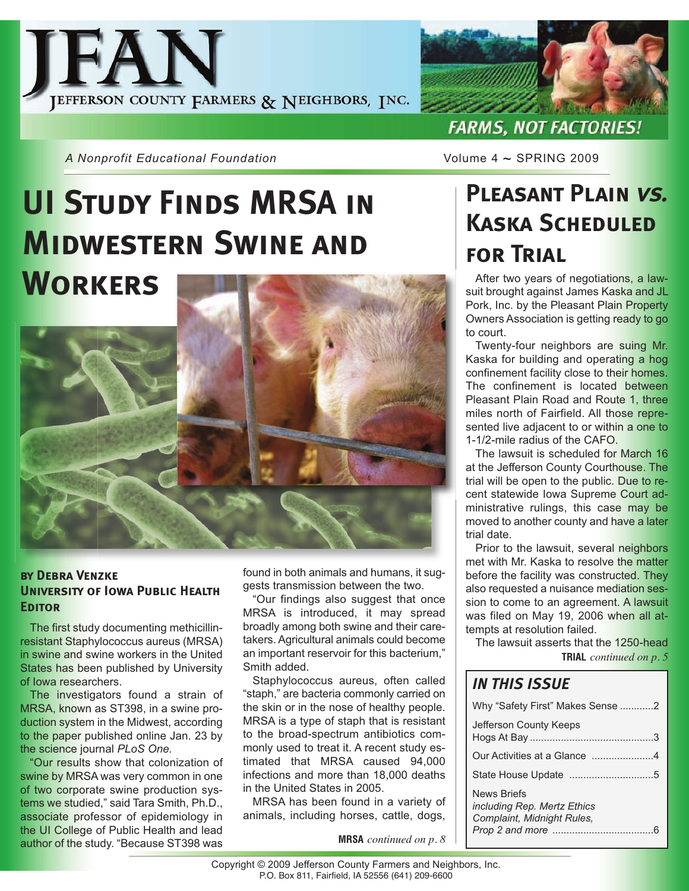



*A Nonprofit Educational Foundation* **Volume 4 ~ SPRING 2009** 

# **UI Study Finds MRSA in Midwestern Swine and Workers**



#### **by Debra Venzke University of Iowa Public Health Editor**

The first study documenting methicillinresistant Staphylococcus aureus (MRSA) in swine and swine workers in the United States has been published by University of Iowa researchers.

The investigators found a strain of MRSA, known as ST398, in a swine production system in the Midwest, according to the paper published online Jan. 23 by the science journal *PLoS One.*

"Our results show that colonization of swine by MRSA was very common in one of two corporate swine production systems we studied," said Tara Smith, Ph.D., associate professor of epidemiology in the UI College of Public Health and lead author of the study. "Because ST398 was

found in both animals and humans, it suggests transmission between the two.

"Our findings also suggest that once MRSA is introduced, it may spread broadly among both swine and their caretakers. Agricultural animals could become an important reservoir for this bacterium," Smith added.

Staphylococcus aureus, often called "staph," are bacteria commonly carried on the skin or in the nose of healthy people. MRSA is a type of staph that is resistant to the broad-spectrum antibiotics commonly used to treat it. A recent study estimated that MRSA caused 94,000 infections and more than 18,000 deaths in the United States in 2005.

MRSA has been found in a variety of animals, including horses, cattle, dogs,

**MRSA** *continued on p. 8*

**Pleasant Plain vs. Kaska Scheduled for Trial**

After two years of negotiations, a lawsuit brought against James Kaska and JL Pork, Inc. by the Pleasant Plain Property Owners Association is getting ready to go to court.

Twenty-four neighbors are suing Mr. Kaska for building and operating a hog confinement facility close to their homes. The confinement is located between Pleasant Plain Road and Route 1, three miles north of Fairfield. All those represented live adjacent to or within a one to 1-1/2-mile radius of the CAFO.

The lawsuit is scheduled for March 16 at the Jefferson County Courthouse. The trial will be open to the public. Due to recent statewide Iowa Supreme Court administrative rulings, this case may be moved to another county and have a later trial date.

Prior to the lawsuit, several neighbors met with Mr. Kaska to resolve the matter before the facility was constructed. They also requested a nuisance mediation session to come to an agreement. A lawsuit was filed on May 19, 2006 when all attempts at resolution failed.

The lawsuit asserts that the 1250-head **TRIAL** *continued on p. 5*

### *IN THIS ISSUE*

| Why "Safety First" Makes Sense 2                                                |  |  |  |
|---------------------------------------------------------------------------------|--|--|--|
| Jefferson County Keeps                                                          |  |  |  |
| Our Activities at a Glance 4                                                    |  |  |  |
|                                                                                 |  |  |  |
| News Briefs<br><i>including Rep. Mertz Ethics</i><br>Complaint, Midnight Rules, |  |  |  |
|                                                                                 |  |  |  |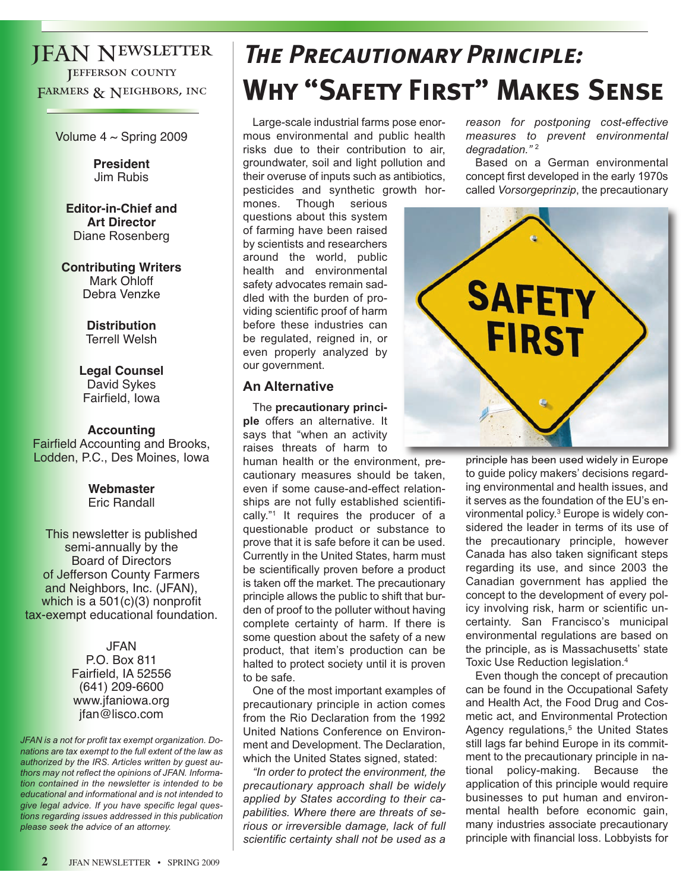### JFAN Newsletter **JEFFERSON COUNTY** FARMERS & NEIGHBORS, INC.

Volume  $4 \sim$  Spring 2009

**President** Jim Rubis

**Editor-in-Chief and Art Director** Diane Rosenberg

**Contributing Writers** Mark Ohloff Debra Venzke

> **Distribution** Terrell Welsh

**Legal Counsel** David Sykes Fairfield, Iowa

**Accounting** Fairfield Accounting and Brooks, Lodden, P.C., Des Moines, Iowa

> **Webmaster** Eric Randall

This newsletter is published semi-annually by the Board of Directors of Jefferson County Farmers and Neighbors, Inc. (JFAN), which is a 501(c)(3) nonprofit tax-exempt educational foundation.

> JFAN P.O. Box 811 Fairfield, IA 52556 (641) 209-6600 www.jfaniowa.org jfan@lisco.com

*JFAN is a not for profit tax exempt organization. Donations are tax exempt to the full extent of the law as authorized by the IRS. Articles written by guest authors may not reflect the opinions of JFAN. Information contained in the newsletter is intended to be educational and informational and is not intended to give legal advice. If you have specific legal questions regarding issues addressed in this publication please seek the advice of an attorney.*

# **The Precautionary Principle: Why "Safety First" Makes Sense**

Large-scale industrial farms pose enormous environmental and public health risks due to their contribution to air, groundwater, soil and light pollution and their overuse of inputs such as antibiotics, pesticides and synthetic growth hor-

mones. Though serious questions about this system of farming have been raised by scientists and researchers around the world, public health and environmental safety advocates remain saddled with the burden of providing scientific proof of harm before these industries can be regulated, reigned in, or even properly analyzed by our government.

#### **An Alternative**

The **precautionary principle** offers an alternative. It says that "when an activity raises threats of harm to

human health or the environment, precautionary measures should be taken, even if some cause-and-effect relationships are not fully established scientifically."<sup>1</sup> It requires the producer of a questionable product or substance to prove that it is safe before it can be used. Currently in the United States, harm must be scientifically proven before a product is taken off the market. The precautionary principle allows the public to shift that burden of proof to the polluter without having complete certainty of harm. If there is some question about the safety of a new product, that item's production can be halted to protect society until it is proven to be safe.

One of the most important examples of precautionary principle in action comes from the Rio Declaration from the 1992 United Nations Conference on Environment and Development. The Declaration, which the United States signed, stated:

*"In order to protect the environment, the precautionary approach shall be widely applied by States according to their capabilities. Where there are threats of serious or irreversible damage, lack of full scientific certainty shall not be used as a*

*reason for postponing cost-effective measures to prevent environmental degradation."* <sup>2</sup>

Based on a German environmental concept first developed in the early 1970s called *Vorsorgeprinzip*, the precautionary



principle has been used widely in Europe to guide policy makers' decisions regarding environmental and health issues, and it serves as the foundation of the EU's environmental policy.3 Europe is widely considered the leader in terms of its use of the precautionary principle, however Canada has also taken significant steps regarding its use, and since 2003 the Canadian government has applied the concept to the development of every policy involving risk, harm or scientific uncertainty. San Francisco's municipal environmental regulations are based on the principle, as is Massachusetts' state Toxic Use Reduction legislation.4

Even though the concept of precaution can be found in the Occupational Safety and Health Act, the Food Drug and Cosmetic act, and Environmental Protection Agency regulations,<sup>5</sup> the United States still lags far behind Europe in its commitment to the precautionary principle in national policy-making. Because the application of this principle would require businesses to put human and environmental health before economic gain, many industries associate precautionary principle with financial loss. Lobbyists for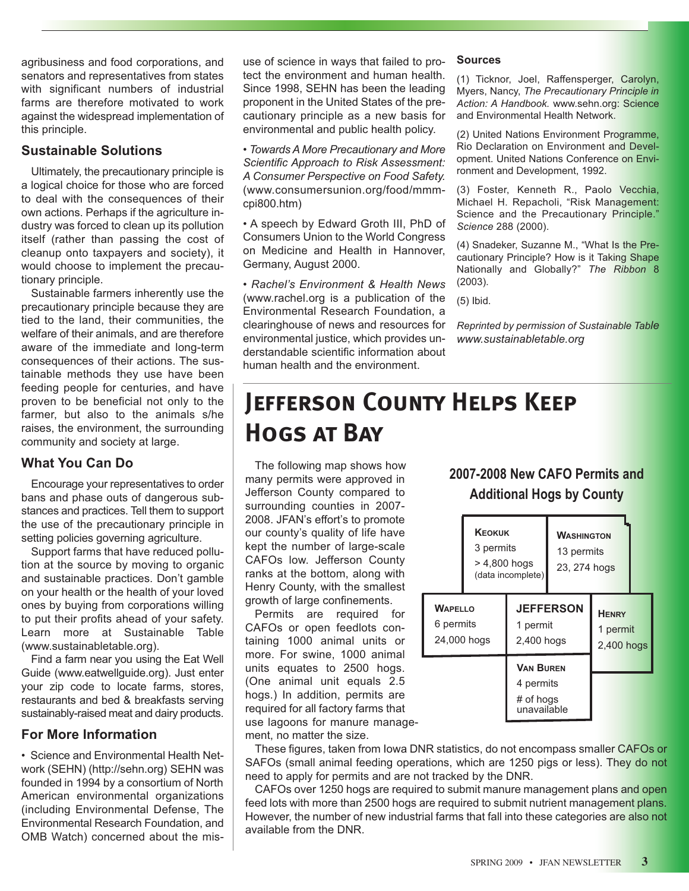agribusiness and food corporations, and senators and representatives from states with significant numbers of industrial farms are therefore motivated to work against the widespread implementation of this principle.

#### **Sustainable Solutions**

Ultimately, the precautionary principle is a logical choice for those who are forced to deal with the consequences of their own actions. Perhaps if the agriculture industry was forced to clean up its pollution itself (rather than passing the cost of cleanup onto taxpayers and society), it would choose to implement the precautionary principle.

Sustainable farmers inherently use the precautionary principle because they are tied to the land, their communities, the welfare of their animals, and are therefore aware of the immediate and long-term consequences of their actions. The sustainable methods they use have been feeding people for centuries, and have proven to be beneficial not only to the farmer, but also to the animals s/he raises, the environment, the surrounding community and society at large.

#### **What You Can Do**

Encourage your representatives to order bans and phase outs of dangerous substances and practices. Tell them to support the use of the precautionary principle in setting policies governing agriculture.

Support farms that have reduced pollution at the source by moving to organic and sustainable practices. Don't gamble on your health or the health of your loved ones by buying from corporations willing to put their profits ahead of your safety. Learn more at Sustainable Table (www.sustainabletable.org).

Find a farm near you using the Eat Well Guide (www.eatwellguide.org). Just enter your zip code to locate farms, stores, restaurants and bed & breakfasts serving sustainably-raised meat and dairy products.

#### **For More Information**

• Science and Environmental Health Network (SEHN) (http://sehn.org) SEHN was founded in 1994 by a consortium of North American environmental organizations (including Environmental Defense, The Environmental Research Foundation, and OMB Watch) concerned about the misuse of science in ways that failed to protect the environment and human health. Since 1998, SEHN has been the leading proponent in the United States of the precautionary principle as a new basis for environmental and public health policy.

*• Towards A More Precautionary and More Scientific Approach to Risk Assessment: A Consumer Perspective on Food Safety.* (www.consumersunion.org/food/mmmcpi800.htm)

• A speech by Edward Groth III, PhD of Consumers Union to the World Congress on Medicine and Health in Hannover, Germany, August 2000.

*• Rachel's Environment & Health News* (www.rachel.org is a publication of the Environmental Research Foundation, a clearinghouse of news and resources for environmental justice, which provides understandable scientific information about human health and the environment.

#### **Sources**

(1) Ticknor, Joel, Raffensperger, Carolyn, Myers, Nancy, *The Precautionary Principle in Action: A Handbook.* www.sehn.org: Science and Environmental Health Network.

(2) United Nations Environment Programme, Rio Declaration on Environment and Development. United Nations Conference on Environment and Development, 1992.

(3) Foster, Kenneth R., Paolo Vecchia, Michael H. Repacholi, "Risk Management: Science and the Precautionary Principle." *Science* 288 (2000).

(4) Snadeker, Suzanne M., "What Is the Precautionary Principle? How is it Taking Shape Nationally and Globally?" *The Ribbon* 8 (2003).

(5) Ibid.

*Reprinted by permission of Sustainable Table www.sustainabletable.org*

### **Jefferson County Helps Keep Hogs at Bay**

The following map shows how many permits were approved in Jefferson County compared to surrounding counties in 2007- 2008. JFAN's effort's to promote our county's quality of life have kept the number of large-scale CAFOs low. Jefferson County ranks at the bottom, along with Henry County, with the smallest growth of large confinements.

Permits are required for CAFOs or open feedlots containing 1000 animal units or more. For swine, 1000 animal units equates to 2500 hogs. (One animal unit equals 2.5 hogs.) In addition, permits are required for all factory farms that use lagoons for manure management, no matter the size.

#### **2007-2008 New CAFO Permits and Additional Hogs by County**

|                                            | <b>KEOKUK</b><br>3 permits<br>> 4,800 hogs<br>(data incomplete) |                                                           | <b>WASHINGTON</b><br>13 permits<br>23, 274 hogs |                                        |  |
|--------------------------------------------|-----------------------------------------------------------------|-----------------------------------------------------------|-------------------------------------------------|----------------------------------------|--|
| <b>WAPELLO</b><br>6 permits<br>24,000 hogs |                                                                 | <b>JEFFERSON</b><br>1 permit<br>2,400 hogs                |                                                 | <b>HENRY</b><br>1 permit<br>2,400 hogs |  |
|                                            |                                                                 | <b>VAN BUREN</b><br>4 permits<br># of hogs<br>unavailable |                                                 |                                        |  |

These figures, taken from Iowa DNR statistics, do not encompass smaller CAFOs or SAFOs (small animal feeding operations, which are 1250 pigs or less). They do not need to apply for permits and are not tracked by the DNR.

CAFOs over 1250 hogs are required to submit manure management plans and open feed lots with more than 2500 hogs are required to submit nutrient management plans. However, the number of new industrial farms that fall into these categories are also not available from the DNR.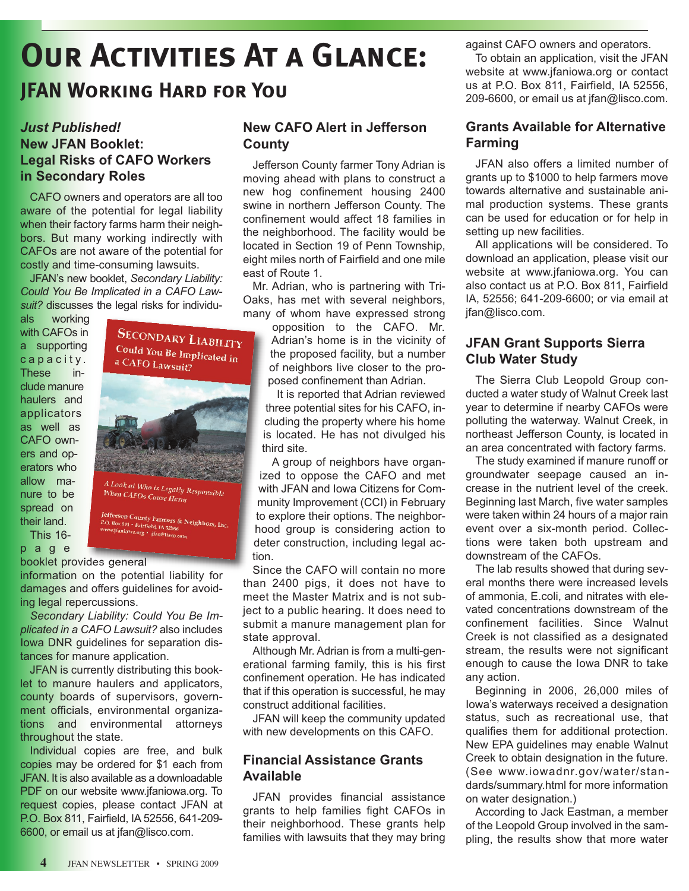# **Our Activities At a Glance:**

### **JFAN Working Hard for You**

#### *Just Published!* **New JFAN Booklet: Legal Risks of CAFO Workers in Secondary Roles**

CAFO owners and operators are all too aware of the potential for legal liability when their factory farms harm their neighbors. But many working indirectly with CAFOs are not aware of the potential for costly and time-consuming lawsuits.

JFAN's new booklet, *Secondary Liability: Could You Be Implicated in a CAFO Lawsuit?* discusses the legal risks for individu-

als working with CAFOs in a supporting capacity. These include manure haulers and applicators as well as CAFO owners and operators who allow manure to be spread on their land. This 16-

p a g e

booklet provides general

information on the potential liability for damages and offers guidelines for avoiding legal repercussions.

*Secondary Liability: Could You Be Implicated in a CAFO Lawsuit?* also includes Iowa DNR guidelines for separation distances for manure application.

JFAN is currently distributing this booklet to manure haulers and applicators, county boards of supervisors, government officials, environmental organizations and environmental attorneys throughout the state.

Individual copies are free, and bulk copies may be ordered for \$1 each from JFAN. It is also available as a downloadable PDF on our website www.jfaniowa.org. To request copies, please contact JFAN at P.O. Box 811, Fairfield, IA 52556, 641-209- 6600, or email us at jfan@lisco.com.

#### **New CAFO Alert in Jefferson County**

Jefferson County farmer Tony Adrian is moving ahead with plans to construct a new hog confinement housing 2400 swine in northern Jefferson County. The confinement would affect 18 families in the neighborhood. The facility would be located in Section 19 of Penn Township, eight miles north of Fairfield and one mile east of Route 1.

Mr. Adrian, who is partnering with Tri-Oaks, has met with several neighbors, many of whom have expressed strong

opposition to the CAFO. Mr. Adrian's home is in the vicinity of the proposed facility, but a number of neighbors live closer to the proposed confinement than Adrian.

It is reported that Adrian reviewed three potential sites for his CAFO, including the property where his home is located. He has not divulged his third site.

A group of neighbors have organized to oppose the CAFO and met with JFAN and Iowa Citizens for Community Improvement (CCI) in February to explore their options. The neighborhood group is considering action to deter construction, including legal action.

Since the CAFO will contain no more than 2400 pigs, it does not have to meet the Master Matrix and is not subject to a public hearing. It does need to submit a manure management plan for state approval.

Although Mr. Adrian is from a multi-generational farming family, this is his first confinement operation. He has indicated that if this operation is successful, he may construct additional facilities.

JFAN will keep the community updated with new developments on this CAFO.

#### **Financial Assistance Grants Available**

JFAN provides financial assistance grants to help families fight CAFOs in their neighborhood. These grants help families with lawsuits that they may bring

against CAFO owners and operators.

To obtain an application, visit the JFAN website at www.jfaniowa.org or contact us at P.O. Box 811, Fairfield, IA 52556, 209-6600, or email us at jfan@lisco.com.

#### **Grants Available for Alternative Farming**

JFAN also offers a limited number of grants up to \$1000 to help farmers move towards alternative and sustainable animal production systems. These grants can be used for education or for help in setting up new facilities.

All applications will be considered. To download an application, please visit our website at www.jfaniowa.org. You can also contact us at P.O. Box 811, Fairfield IA, 52556; 641-209-6600; or via email at jfan@lisco.com.

#### **JFAN Grant Supports Sierra Club Water Study**

The Sierra Club Leopold Group conducted a water study of Walnut Creek last year to determine if nearby CAFOs were polluting the waterway. Walnut Creek, in northeast Jefferson County, is located in an area concentrated with factory farms.

The study examined if manure runoff or groundwater seepage caused an increase in the nutrient level of the creek. Beginning last March, five water samples were taken within 24 hours of a major rain event over a six-month period. Collections were taken both upstream and downstream of the CAFOs.

The lab results showed that during several months there were increased levels of ammonia, E.coli, and nitrates with elevated concentrations downstream of the confinement facilities. Since Walnut Creek is not classified as a designated stream, the results were not significant enough to cause the Iowa DNR to take any action.

Beginning in 2006, 26,000 miles of Iowa's waterways received a designation status, such as recreational use, that qualifies them for additional protection. New EPA guidelines may enable Walnut Creek to obtain designation in the future. (See www.iowadnr.gov/water/standards/summary.html for more information on water designation.)

According to Jack Eastman, a member of the Leopold Group involved in the sampling, the results show that more water

SECONDARY LIABILITY Could You Be Implicated in a CAFO Lawsuit? A Look at Who is Legally Responsible<br>When CAFOs Cause Harm Jefferson County Farmers & Neighbors, Inc.<br>P.O. Box 811 • Fairfield, IA 32556<br>www.jfaniowa.org • jfan@jisco.com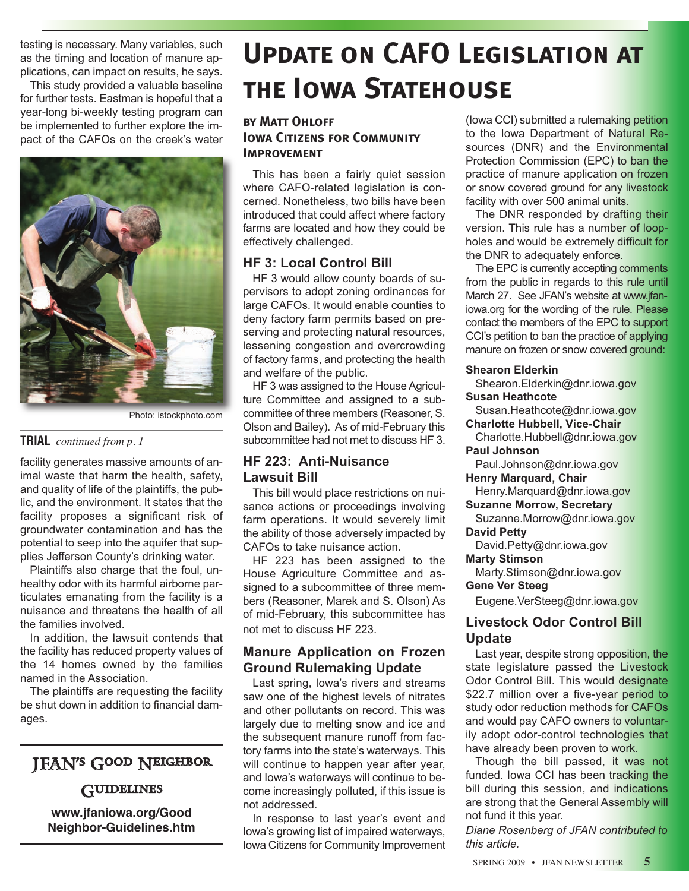testing is necessary. Many variables, such as the timing and location of manure applications, can impact on results, he says.

This study provided a valuable baseline for further tests. Eastman is hopeful that a year-long bi-weekly testing program can be implemented to further explore the impact of the CAFOs on the creek's water



Photo: istockphoto.com

#### **TRIAL** *continued from p. 1*

facility generates massive amounts of animal waste that harm the health, safety, and quality of life of the plaintiffs, the public, and the environment. It states that the facility proposes a significant risk of groundwater contamination and has the potential to seep into the aquifer that supplies Jefferson County's drinking water.

Plaintiffs also charge that the foul, unhealthy odor with its harmful airborne particulates emanating from the facility is a nuisance and threatens the health of all the families involved.

In addition, the lawsuit contends that the facility has reduced property values of the 14 homes owned by the families named in the Association.

The plaintiffs are requesting the facility be shut down in addition to financial damages.

### JFAN's Good Neighbor

#### **GUIDELINES**

**www.jfaniowa.org/Good Neighbor-Guidelines.htm**

# **Update on CAFO Legislation at the Iowa Statehouse**

#### **by Matt Ohloff IOWA CITIZENS FOR COMMUNITY IMPROVEMENT**

This has been a fairly quiet session where CAFO-related legislation is concerned. Nonetheless, two bills have been introduced that could affect where factory farms are located and how they could be effectively challenged.

#### **HF 3: Local Control Bill**

HF 3 would allow county boards of supervisors to adopt zoning ordinances for large CAFOs. It would enable counties to deny factory farm permits based on preserving and protecting natural resources, lessening congestion and overcrowding of factory farms, and protecting the health and welfare of the public.

HF 3 was assigned to the House Agriculture Committee and assigned to a subcommittee of three members (Reasoner, S. Olson and Bailey). As of mid-February this subcommittee had not met to discuss HF 3.

#### **HF 223: Anti-Nuisance Lawsuit Bill**

This bill would place restrictions on nuisance actions or proceedings involving farm operations. It would severely limit the ability of those adversely impacted by CAFOs to take nuisance action.

HF 223 has been assigned to the House Agriculture Committee and assigned to a subcommittee of three members (Reasoner, Marek and S. Olson) As of mid-February, this subcommittee has not met to discuss HF 223.

#### **Manure Application on Frozen Ground Rulemaking Update**

Last spring, Iowa's rivers and streams saw one of the highest levels of nitrates and other pollutants on record. This was largely due to melting snow and ice and the subsequent manure runoff from factory farms into the state's waterways. This will continue to happen year after year, and Iowa's waterways will continue to become increasingly polluted, if this issue is not addressed.

In response to last year's event and Iowa's growing list of impaired waterways, Iowa Citizens for Community Improvement (Iowa CCI) submitted a rulemaking petition to the Iowa Department of Natural Resources (DNR) and the Environmental Protection Commission (EPC) to ban the practice of manure application on frozen or snow covered ground for any livestock facility with over 500 animal units.

The DNR responded by drafting their version. This rule has a number of loopholes and would be extremely difficult for the DNR to adequately enforce.

The EPC is currently accepting comments from the public in regards to this rule until March 27. See JFAN's website at www.jfaniowa.org for the wording of the rule. Please contact the members of the EPC to support CCI's petition to ban the practice of applying manure on frozen or snow covered ground:

#### **Shearon Elderkin**

Shearon.Elderkin@dnr.iowa.gov

**Susan Heathcote**

Susan.Heathcote@dnr.iowa.gov **Charlotte Hubbell, Vice-Chair**

Charlotte.Hubbell@dnr.iowa.gov **Paul Johnson** 

Paul.Johnson@dnr.iowa.gov

**Henry Marquard, Chair**

Henry.Marquard@dnr.iowa.gov

**Suzanne Morrow, Secretary**  Suzanne.Morrow@dnr.iowa.gov

**David Petty**

David.Petty@dnr.iowa.gov

#### **Marty Stimson**

Marty.Stimson@dnr.iowa.gov

#### **Gene Ver Steeg**

Eugene.VerSteeg@dnr.iowa.gov

#### **Livestock Odor Control Bill Update**

Last year, despite strong opposition, the state legislature passed the Livestock Odor Control Bill. This would designate \$22.7 million over a five-year period to study odor reduction methods for CAFOs and would pay CAFO owners to voluntarily adopt odor-control technologies that have already been proven to work.

Though the bill passed, it was not funded. Iowa CCI has been tracking the bill during this session, and indications are strong that the General Assembly will not fund it this year.

*Diane Rosenberg of JFAN contributed to this article.* 

SPRING 2009 • JFAN NEWSLETTER **5**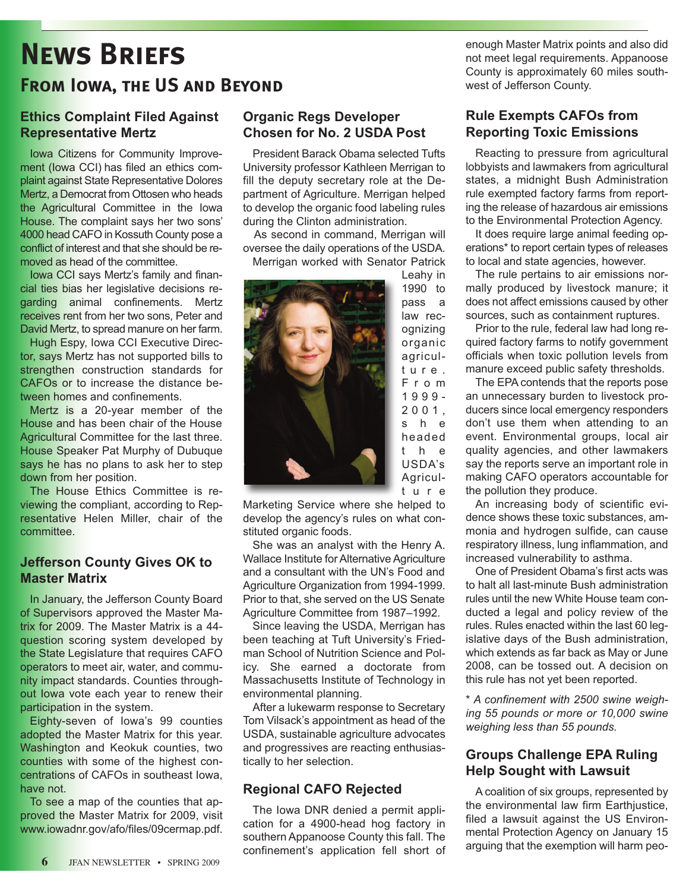### **News Briefs From Iowa, the US and Beyond**

#### **Ethics Complaint Filed Against Representative Mertz**

Iowa Citizens for Community Improvement (Iowa CCI) has filed an ethics complaint against State Representative Dolores Mertz, a Democrat from Ottosen who heads the Agricultural Committee in the Iowa House. The complaint says her two sons' 4000 head CAFO in Kossuth County pose a conflict of interest and that she should be removed as head of the committee.

Iowa CCI says Mertz's family and financial ties bias her legislative decisions regarding animal confinements. Mertz receives rent from her two sons, Peter and David Mertz, to spread manure on her farm.

Hugh Espy, Iowa CCI Executive Director, says Mertz has not supported bills to strengthen construction standards for CAFOs or to increase the distance between homes and confinements.

Mertz is a 20-year member of the House and has been chair of the House Agricultural Committee for the last three. House Speaker Pat Murphy of Dubuque says he has no plans to ask her to step down from her position.

The House Ethics Committee is reviewing the compliant, according to Representative Helen Miller, chair of the committee.

#### **Jefferson County Gives OK to Master Matrix**

In January, the Jefferson County Board of Supervisors approved the Master Matrix for 2009. The Master Matrix is a 44 question scoring system developed by the State Legislature that requires CAFO operators to meet air, water, and community impact standards. Counties throughout Iowa vote each year to renew their participation in the system.

Eighty-seven of Iowa's 99 counties adopted the Master Matrix for this year. Washington and Keokuk counties, two counties with some of the highest concentrations of CAFOs in southeast Iowa, have not.

To see a map of the counties that approved the Master Matrix for 2009, visit www.iowadnr.gov/afo/files/09cermap.pdf.

#### **Organic Regs Developer Chosen for No. 2 USDA Post**

President Barack Obama selected Tufts University professor Kathleen Merrigan to fill the deputy secretary role at the Department of Agriculture. Merrigan helped to develop the organic food labeling rules during the Clinton administration.

As second in command, Merrigan will oversee the daily operations of the USDA.

Merrigan worked with Senator Patrick Leahy in



Marketing Service where she helped to develop the agency's rules on what constituted organic foods.

She was an analyst with the Henry A. Wallace Institute for Alternative Agriculture and a consultant with the UN's Food and Agriculture Organization from 1994-1999. Prior to that, she served on the US Senate Agriculture Committee from 1987–1992.

Since leaving the USDA, Merrigan has been teaching at Tuft University's Friedman School of Nutrition Science and Policy. She earned a doctorate from Massachusetts Institute of Technology in environmental planning.

After a lukewarm response to Secretary Tom Vilsack's appointment as head of the USDA, sustainable agriculture advocates and progressives are reacting enthusiastically to her selection.

#### **Regional CAFO Rejected**

The Iowa DNR denied a permit application for a 4900-head hog factory in southern Appanoose County this fall. The confinement's application fell short of enough Master Matrix points and also did not meet legal requirements. Appanoose County is approximately 60 miles southwest of Jefferson County.

#### **Rule Exempts CAFOs from Reporting Toxic Emissions**

Reacting to pressure from agricultural lobbyists and lawmakers from agricultural states, a midnight Bush Administration rule exempted factory farms from reporting the release of hazardous air emissions to the Environmental Protection Agency.

It does require large animal feeding operations\* to report certain types of releases to local and state agencies, however.

The rule pertains to air emissions normally produced by livestock manure; it does not affect emissions caused by other sources, such as containment ruptures.

Prior to the rule, federal law had long required factory farms to notify government officials when toxic pollution levels from manure exceed public safety thresholds.

The EPA contends that the reports pose an unnecessary burden to livestock producers since local emergency responders don't use them when attending to an event. Environmental groups, local air quality agencies, and other lawmakers say the reports serve an important role in making CAFO operators accountable for the pollution they produce.

An increasing body of scientific evidence shows these toxic substances, ammonia and hydrogen sulfide, can cause respiratory illness, lung inflammation, and increased vulnerability to asthma.

One of President Obama's first acts was to halt all last-minute Bush administration rules until the new White House team conducted a legal and policy review of the rules. Rules enacted within the last 60 legislative days of the Bush administration, which extends as far back as May or June 2008, can be tossed out. A decision on this rule has not yet been reported.

*\* A confinement with 2500 swine weighing 55 pounds or more or 10,000 swine weighing less than 55 pounds.*

#### **Groups Challenge EPA Ruling Help Sought with Lawsuit**

A coalition of six groups, represented by the environmental law firm Earthjustice, filed a lawsuit against the US Environmental Protection Agency on January 15 arguing that the exemption will harm peo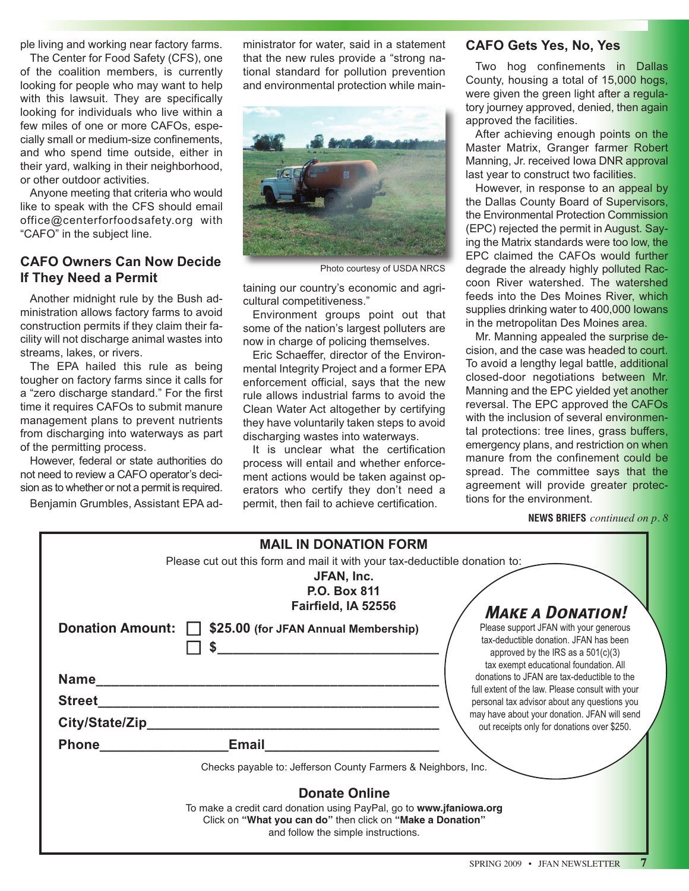ple living and working near factory farms.

The Center for Food Safety (CFS), one of the coalition members, is currently looking for people who may want to help with this lawsuit. They are specifically looking for individuals who live within a few miles of one or more CAFOs, especially small or medium-size confinements, and who spend time outside, either in their yard, walking in their neighborhood, or other outdoor activities.

Anyone meeting that criteria who would like to speak with the CFS should email office@centerforfoodsafety.org with "CAFO" in the subject line.

#### **CAFO Owners Can Now Decide If They Need a Permit**

Another midnight rule by the Bush administration allows factory farms to avoid construction permits if they claim their facility will not discharge animal wastes into streams, lakes, or rivers.

The EPA hailed this rule as being tougher on factory farms since it calls for a "zero discharge standard." For the first time it requires CAFOs to submit manure management plans to prevent nutrients from discharging into waterways as part of the permitting process.

However, federal or state authorities do not need to review a CAFO operator's decision as to whether or not a permit is required.

Benjamin Grumbles, Assistant EPA ad-

ministrator for water, said in a statement that the new rules provide a "strong national standard for pollution prevention and environmental protection while main-



Photo courtesy of USDA NRCS

taining our country's economic and agricultural competitiveness."

Environment groups point out that some of the nation's largest polluters are now in charge of policing themselves.

Eric Schaeffer, director of the Environmental Integrity Project and a former EPA enforcement official, says that the new rule allows industrial farms to avoid the Clean Water Act altogether by certifying they have voluntarily taken steps to avoid discharging wastes into waterways.

It is unclear what the certification process will entail and whether enforcement actions would be taken against operators who certify they don't need a permit, then fail to achieve certification.

#### **CAFO Gets Yes, No, Yes**

Two hog confinements in Dallas County, housing a total of 15,000 hogs, were given the green light after a regulatory journey approved, denied, then again approved the facilities.

After achieving enough points on the Master Matrix, Granger farmer Robert Manning, Jr. received Iowa DNR approval last year to construct two facilities.

However, in response to an appeal by the Dallas County Board of Supervisors, the Environmental Protection Commission (EPC) rejected the permit in August. Saying the Matrix standards were too low, the EPC claimed the CAFOs would further degrade the already highly polluted Raccoon River watershed. The watershed feeds into the Des Moines River, which supplies drinking water to 400,000 Iowans in the metropolitan Des Moines area.

Mr. Manning appealed the surprise decision, and the case was headed to court. To avoid a lengthy legal battle, additional closed-door negotiations between Mr. Manning and the EPC yielded yet another reversal. The EPC approved the CAFOs with the inclusion of several environmental protections: tree lines, grass buffers, emergency plans, and restriction on when manure from the confinement could be spread. The committee says that the agreement will provide greater protections for the environment.

**NEWS BRIEFS** *continued on p. 8*

| <b>MAIL IN DONATION FORM</b>                                               |                                                                                                  |  |  |  |  |
|----------------------------------------------------------------------------|--------------------------------------------------------------------------------------------------|--|--|--|--|
| Please cut out this form and mail it with your tax-deductible donation to: |                                                                                                  |  |  |  |  |
| JFAN, Inc.                                                                 |                                                                                                  |  |  |  |  |
| <b>P.O. Box 811</b>                                                        |                                                                                                  |  |  |  |  |
| Fairfield, IA 52556                                                        | <b>MAKE A DONATION!</b>                                                                          |  |  |  |  |
| Donation Amount:   \$25.00 (for JFAN Annual Membership)                    | Please support JFAN with your generous                                                           |  |  |  |  |
|                                                                            | tax-deductible donation. JFAN has been                                                           |  |  |  |  |
|                                                                            | approved by the IRS as a 501(c)(3)<br>tax exempt educational foundation. All                     |  |  |  |  |
| <b>Name</b>                                                                | donations to JFAN are tax-deductible to the                                                      |  |  |  |  |
| <b>Street</b>                                                              | full extent of the law. Please consult with your<br>personal tax advisor about any questions you |  |  |  |  |
|                                                                            | may have about your donation. JFAN will send                                                     |  |  |  |  |
| City/State/Zip                                                             | out receipts only for donations over \$250.                                                      |  |  |  |  |
| <b>Phone</b><br><b>Email</b>                                               |                                                                                                  |  |  |  |  |
| Checks payable to: Jefferson County Farmers & Neighbors, Inc.              |                                                                                                  |  |  |  |  |
| <b>Donate Online</b>                                                       |                                                                                                  |  |  |  |  |
| To make a credit card donation using PayPal, go to www.jfaniowa.org        |                                                                                                  |  |  |  |  |
| Click on "What you can do" then click on "Make a Donation"                 |                                                                                                  |  |  |  |  |
| and follow the simple instructions.                                        |                                                                                                  |  |  |  |  |